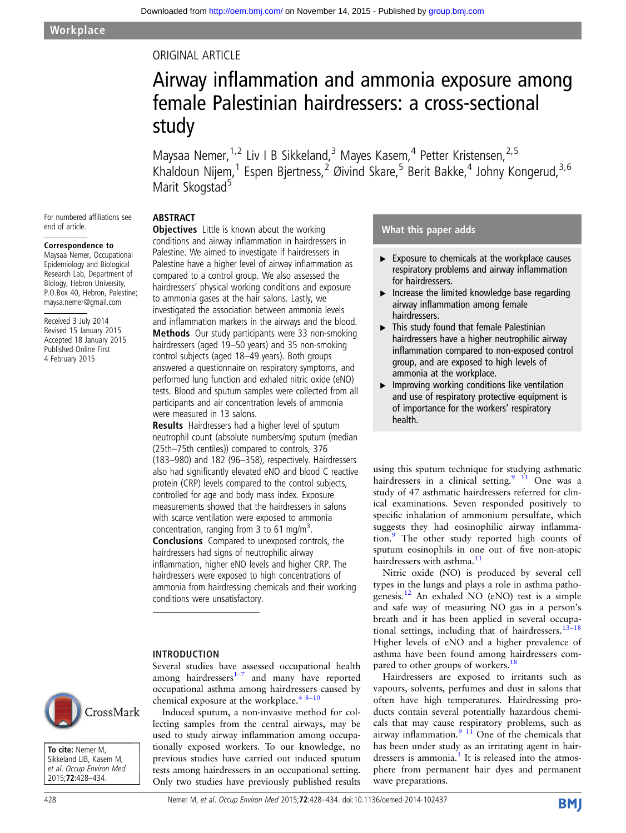# ORIGINAL ARTICLE

# Airway inflammation and ammonia exposure among female Palestinian hairdressers: a cross-sectional study

Maysaa Nemer, <sup>1,2</sup> Liv I B Sikkeland, <sup>3</sup> Mayes Kasem, <sup>4</sup> Petter Kristensen, <sup>2, 5</sup> Khaldoun Nijem,<sup>1</sup> Espen Bjertness,<sup>2</sup> Øivind Skare,<sup>5</sup> Berit Bakke,<sup>4</sup> Johny Kongerud,<sup>3,6</sup> Marit Skogstad<sup>5</sup>

# ABSTRACT

For numbered affiliations see end of article.

#### Correspondence to

Maysaa Nemer, Occupational Epidemiology and Biological Research Lab, Department of Biology, Hebron University, P.O.Box 40, Hebron, Palestine; maysa.nemer@gmail.com

Received 3 July 2014 Revised 15 January 2015 Accepted 18 January 2015 Published Online First 4 February 2015

**Objectives** Little is known about the working conditions and airway inflammation in hairdressers in Palestine. We aimed to investigate if hairdressers in Palestine have a higher level of airway inflammation as compared to a control group. We also assessed the hairdressers' physical working conditions and exposure to ammonia gases at the hair salons. Lastly, we investigated the association between ammonia levels and inflammation markers in the airways and the blood. Methods Our study participants were 33 non-smoking hairdressers (aged 19–50 years) and 35 non-smoking control subjects (aged 18–49 years). Both groups answered a questionnaire on respiratory symptoms, and performed lung function and exhaled nitric oxide (eNO) tests. Blood and sputum samples were collected from all participants and air concentration levels of ammonia were measured in 13 salons.

Results Hairdressers had a higher level of sputum neutrophil count (absolute numbers/mg sputum (median (25th–75th centiles)) compared to controls, 376 (183–980) and 182 (96–358), respectively. Hairdressers also had significantly elevated eNO and blood C reactive protein (CRP) levels compared to the control subjects, controlled for age and body mass index. Exposure measurements showed that the hairdressers in salons with scarce ventilation were exposed to ammonia concentration, ranging from 3 to 61 mg/m<sup>3</sup>. Conclusions Compared to unexposed controls, the hairdressers had signs of neutrophilic airway inflammation, higher eNO levels and higher CRP. The hairdressers were exposed to high concentrations of ammonia from hairdressing chemicals and their working conditions were unsatisfactory.

## INTRODUCTION



To cite: Nemer M, Sikkeland LIB, Kasem M, et al. Occup Environ Med 2015;72:428–434.

Several studies have assessed occupational health among hairdressers<sup>[1](#page-6-0)–7</sup> and many have reported occupational asthma among hairdressers caused by chemical exposure at the workplace. $48-10$  $48-10$  $48-10$ 

Induced sputum, a non-invasive method for collecting samples from the central airways, may be used to study airway inflammation among occupationally exposed workers. To our knowledge, no previous studies have carried out induced sputum tests among hairdressers in an occupational setting. Only two studies have previously published results

# What this paper adds

- $\blacktriangleright$  Exposure to chemicals at the workplace causes respiratory problems and airway inflammation for hairdressers.
- ▸ Increase the limited knowledge base regarding airway inflammation among female hairdressers.
- ▸ This study found that female Palestinian hairdressers have a higher neutrophilic airway inflammation compared to non-exposed control group, and are exposed to high levels of ammonia at the workplace.
- $\blacktriangleright$  Improving working conditions like ventilation and use of respiratory protective equipment is of importance for the workers' respiratory health.

using this sputum technique for studying asthmatic hairdressers in a clinical setting.<sup>[9 11](#page-6-0)</sup> One was a study of 47 asthmatic hairdressers referred for clinical examinations. Seven responded positively to specific inhalation of ammonium persulfate, which suggests they had eosinophilic airway inflammation.[9](#page-6-0) The other study reported high counts of sputum eosinophils in one out of five non-atopic hairdressers with asthma.<sup>[11](#page-6-0)</sup>

Nitric oxide (NO) is produced by several cell types in the lungs and plays a role in asthma pathogenesis.[12](#page-6-0) An exhaled NO (eNO) test is a simple and safe way of measuring NO gas in a person's breath and it has been applied in several occupational settings, including that of hairdressers. $13-18$  $13-18$ Higher levels of eNO and a higher prevalence of asthma have been found among hairdressers compared to other groups of workers.<sup>18</sup>

Hairdressers are exposed to irritants such as vapours, solvents, perfumes and dust in salons that often have high temperatures. Hairdressing products contain several potentially hazardous chemicals that may cause respiratory problems, such as airway inflammation. $9<sup>11</sup>$  One of the chemicals that has been under study as an irritating agent in hair-dressers is ammonia.<sup>[1](#page-6-0)</sup> It is released into the atmosphere from permanent hair dyes and permanent wave preparations.

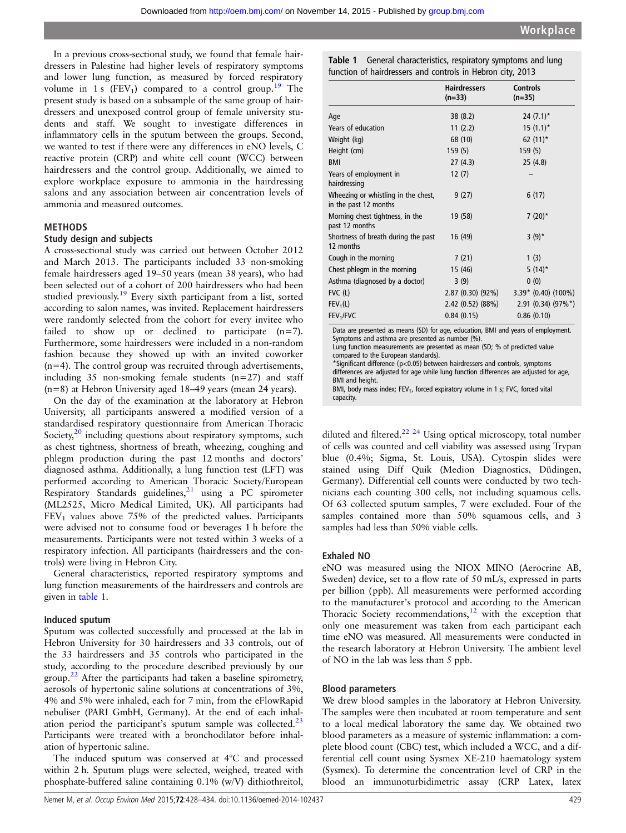In a previous cross-sectional study, we found that female hairdressers in Palestine had higher levels of respiratory symptoms and lower lung function, as measured by forced respiratory volume in 1 s (FEV<sub>1</sub>) compared to a control group.<sup>[19](#page-6-0)</sup> The present study is based on a subsample of the same group of hairdressers and unexposed control group of female university students and staff. We sought to investigate differences in inflammatory cells in the sputum between the groups. Second, we wanted to test if there were any differences in eNO levels, C reactive protein (CRP) and white cell count (WCC) between hairdressers and the control group. Additionally, we aimed to explore workplace exposure to ammonia in the hairdressing salons and any association between air concentration levels of ammonia and measured outcomes.

## METHODS

# Study design and subjects

A cross-sectional study was carried out between October 2012 and March 2013. The participants included 33 non-smoking female hairdressers aged 19–50 years (mean 38 years), who had been selected out of a cohort of 200 hairdressers who had been studied previously.<sup>[19](#page-6-0)</sup> Every sixth participant from a list, sorted according to salon names, was invited. Replacement hairdressers were randomly selected from the cohort for every invitee who failed to show up or declined to participate (n=7). Furthermore, some hairdressers were included in a non-random fashion because they showed up with an invited coworker  $(n=4)$ . The control group was recruited through advertisements, including  $35$  non-smoking female students (n=27) and staff (n=8) at Hebron University aged 18–49 years (mean 24 years).

On the day of the examination at the laboratory at Hebron University, all participants answered a modified version of a standardised respiratory questionnaire from American Thoracic Society, $20$  including questions about respiratory symptoms, such as chest tightness, shortness of breath, wheezing, coughing and phlegm production during the past 12 months and doctors' diagnosed asthma. Additionally, a lung function test (LFT) was performed according to American Thoracic Society/European Respiratory Standards guidelines, $21$  using a PC spirometer (ML2525, Micro Medical Limited, UK). All participants had  $FEV<sub>1</sub>$  values above 75% of the predicted values. Participants were advised not to consume food or beverages 1 h before the measurements. Participants were not tested within 3 weeks of a respiratory infection. All participants (hairdressers and the controls) were living in Hebron City.

General characteristics, reported respiratory symptoms and lung function measurements of the hairdressers and controls are given in table 1.

# Induced sputum

Sputum was collected successfully and processed at the lab in Hebron University for 30 hairdressers and 33 controls, out of the 33 hairdressers and 35 controls who participated in the study, according to the procedure described previously by our group.<sup>[22](#page-6-0)</sup> After the participants had taken a baseline spirometry, aerosols of hypertonic saline solutions at concentrations of 3%, 4% and 5% were inhaled, each for 7 min, from the eFlowRapid nebuliser (PARI GmbH, Germany). At the end of each inhalation period the participant's sputum sample was collected.<sup>23</sup> Participants were treated with a bronchodilator before inhalation of hypertonic saline.

The induced sputum was conserved at 4°C and processed within 2 h. Sputum plugs were selected, weighed, treated with phosphate-buffered saline containing 0.1% (w/V) dithiothreitol,

Table 1 General characteristics, respiratory symptoms and lung function of hairdressers and controls in Hebron city, 2013

|                                                              | <b>Hairdressers</b><br>$(n=33)$ | <b>Controls</b><br>$(n=35)$ |
|--------------------------------------------------------------|---------------------------------|-----------------------------|
| Age                                                          | 38 (8.2)                        | $24(7.1)^*$                 |
| Years of education                                           | 11(2.2)                         | $15(1.1)^*$                 |
| Weight (kg)                                                  | 68 (10)                         | 62 $(11)^*$                 |
| Height (cm)                                                  | 159(5)                          | 159(5)                      |
| <b>BMI</b>                                                   | 27(4.3)                         | 25(4.8)                     |
| Years of employment in<br>hairdressing                       | 12(7)                           |                             |
| Wheezing or whistling in the chest,<br>in the past 12 months | 9(27)                           | 6(17)                       |
| Morning chest tightness, in the<br>past 12 months            | 19 (58)                         | $7(20)^*$                   |
| Shortness of breath during the past<br>12 months             | 16 (49)                         | $3(9)^*$                    |
| Cough in the morning                                         | 7(21)                           | 1(3)                        |
| Chest phlegm in the morning                                  | 15 (46)                         | $5(14)^*$                   |
| Asthma (diagnosed by a doctor)                               | 3(9)                            | 0(0)                        |
| $FVC$ (L)                                                    | $2.87(0.30)(92\%)$              | $3.39*$ (0.40) (100%)       |
| FEV <sub>1</sub> (L)                                         | $2.42$ (0.52) (88%)             | $2.91$ (0.34) (97%*)        |
| FEV <sub>1</sub> /FVC                                        | 0.84(0.15)                      | 0.86(0.10)                  |

Data are presented as means (SD) for age, education, BMI and years of employment. Symptoms and asthma are presented as number (%).

Lung function measurements are presented as mean (SD; % of predicted value compared to the European standards).

\*Significant difference (p<0.05) between hairdressers and controls, symptoms differences are adjusted for age while lung function differences are adjusted for age, BMI and height.

BMI, body mass index; FEV<sub>1</sub>, forced expiratory volume in 1 s; FVC, forced vital capacity.

diluted and filtered.<sup>22-24</sup> Using optical microscopy, total number of cells was counted and cell viability was assessed using Trypan blue (0.4%; Sigma, St. Louis, USA). Cytospin slides were stained using Diff Quik (Medion Diagnostics, Düdingen, Germany). Differential cell counts were conducted by two technicians each counting 300 cells, not including squamous cells. Of 63 collected sputum samples, 7 were excluded. Four of the samples contained more than 50% squamous cells, and 3 samples had less than 50% viable cells.

# Exhaled NO

eNO was measured using the NIOX MINO (Aerocrine AB, Sweden) device, set to a flow rate of 50 mL/s, expressed in parts per billion (ppb). All measurements were performed according to the manufacturer's protocol and according to the American Thoracic Society recommendations, $12$  with the exception that only one measurement was taken from each participant each time eNO was measured. All measurements were conducted in the research laboratory at Hebron University. The ambient level of NO in the lab was less than 5 ppb.

## Blood parameters

We drew blood samples in the laboratory at Hebron University. The samples were then incubated at room temperature and sent to a local medical laboratory the same day. We obtained two blood parameters as a measure of systemic inflammation: a complete blood count (CBC) test, which included a WCC, and a differential cell count using Sysmex XE-210 haematology system (Sysmex). To determine the concentration level of CRP in the blood an immunoturbidimetric assay (CRP Latex, latex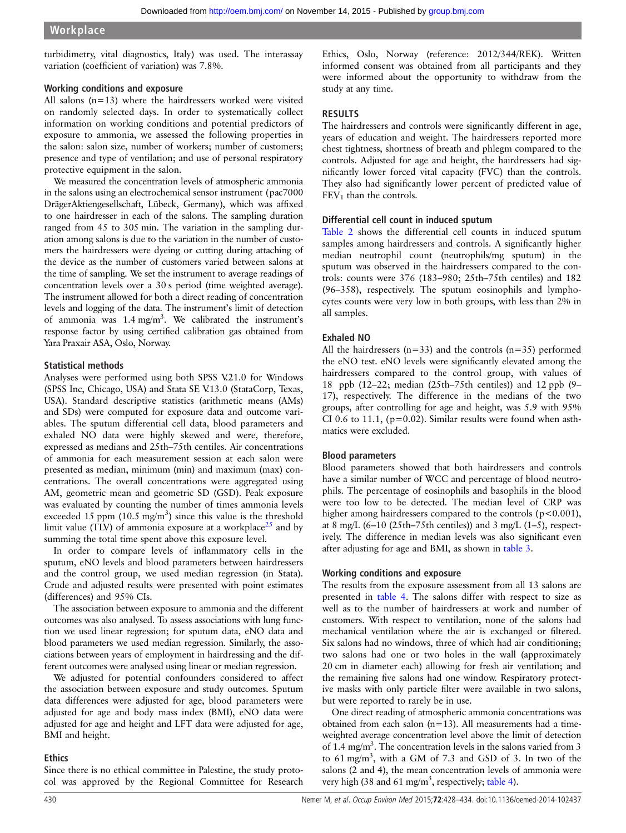turbidimetry, vital diagnostics, Italy) was used. The interassay variation (coefficient of variation) was 7.8%.

# Working conditions and exposure

All salons (n=13) where the hairdressers worked were visited on randomly selected days. In order to systematically collect information on working conditions and potential predictors of exposure to ammonia, we assessed the following properties in the salon: salon size, number of workers; number of customers; presence and type of ventilation; and use of personal respiratory protective equipment in the salon.

We measured the concentration levels of atmospheric ammonia in the salons using an electrochemical sensor instrument (pac7000 DrägerAktiengesellschaft, Lübeck, Germany), which was affixed to one hairdresser in each of the salons. The sampling duration ranged from 45 to 305 min. The variation in the sampling duration among salons is due to the variation in the number of customers the hairdressers were dyeing or cutting during attaching of the device as the number of customers varied between salons at the time of sampling. We set the instrument to average readings of concentration levels over a 30 s period (time weighted average). The instrument allowed for both a direct reading of concentration levels and logging of the data. The instrument's limit of detection of ammonia was  $1.4 \text{ mg/m}^3$ . We calibrated the instrument's response factor by using certified calibration gas obtained from Yara Praxair ASA, Oslo, Norway.

# Statistical methods

Analyses were performed using both SPSS V.21.0 for Windows (SPSS Inc, Chicago, USA) and Stata SE V.13.0 (StataCorp, Texas, USA). Standard descriptive statistics (arithmetic means (AMs) and SDs) were computed for exposure data and outcome variables. The sputum differential cell data, blood parameters and exhaled NO data were highly skewed and were, therefore, expressed as medians and 25th–75th centiles. Air concentrations of ammonia for each measurement session at each salon were presented as median, minimum (min) and maximum (max) concentrations. The overall concentrations were aggregated using AM, geometric mean and geometric SD (GSD). Peak exposure was evaluated by counting the number of times ammonia levels exceeded 15 ppm  $(10.5 \text{ mg/m}^3)$  since this value is the threshold limit value (TLV) of ammonia exposure at a workplace<sup>25</sup> and by summing the total time spent above this exposure level.

In order to compare levels of inflammatory cells in the sputum, eNO levels and blood parameters between hairdressers and the control group, we used median regression (in Stata). Crude and adjusted results were presented with point estimates (differences) and 95% CIs.

The association between exposure to ammonia and the different outcomes was also analysed. To assess associations with lung function we used linear regression; for sputum data, eNO data and blood parameters we used median regression. Similarly, the associations between years of employment in hairdressing and the different outcomes were analysed using linear or median regression.

We adjusted for potential confounders considered to affect the association between exposure and study outcomes. Sputum data differences were adjusted for age, blood parameters were adjusted for age and body mass index (BMI), eNO data were adjusted for age and height and LFT data were adjusted for age, BMI and height.

# **Ethics**

Since there is no ethical committee in Palestine, the study protocol was approved by the Regional Committee for Research

Ethics, Oslo, Norway (reference: 2012/344/REK). Written informed consent was obtained from all participants and they were informed about the opportunity to withdraw from the study at any time.

# RESULTS

The hairdressers and controls were significantly different in age, years of education and weight. The hairdressers reported more chest tightness, shortness of breath and phlegm compared to the controls. Adjusted for age and height, the hairdressers had significantly lower forced vital capacity (FVC) than the controls. They also had significantly lower percent of predicted value of  $FEV<sub>1</sub>$  than the controls.

# Differential cell count in induced sputum

[Table 2](#page-3-0) shows the differential cell counts in induced sputum samples among hairdressers and controls. A significantly higher median neutrophil count (neutrophils/mg sputum) in the sputum was observed in the hairdressers compared to the controls: counts were 376 (183–980; 25th–75th centiles) and 182 (96–358), respectively. The sputum eosinophils and lymphocytes counts were very low in both groups, with less than 2% in all samples.

# Exhaled NO

All the hairdressers  $(n=33)$  and the controls  $(n=35)$  performed the eNO test. eNO levels were significantly elevated among the hairdressers compared to the control group, with values of 18 ppb (12–22; median (25th–75th centiles)) and 12 ppb (9– 17), respectively. The difference in the medians of the two groups, after controlling for age and height, was 5.9 with 95% CI 0.6 to 11.1, ( $p=0.02$ ). Similar results were found when asthmatics were excluded.

## Blood parameters

Blood parameters showed that both hairdressers and controls have a similar number of WCC and percentage of blood neutrophils. The percentage of eosinophils and basophils in the blood were too low to be detected. The median level of CRP was higher among hairdressers compared to the controls  $(p<0.001)$ , at 8 mg/L (6–10 (25th–75th centiles)) and 3 mg/L (1–5), respectively. The difference in median levels was also significant even after adjusting for age and BMI, as shown in [table 3](#page-3-0).

## Working conditions and exposure

The results from the exposure assessment from all 13 salons are presented in [table 4](#page-4-0). The salons differ with respect to size as well as to the number of hairdressers at work and number of customers. With respect to ventilation, none of the salons had mechanical ventilation where the air is exchanged or filtered. Six salons had no windows, three of which had air conditioning; two salons had one or two holes in the wall (approximately 20 cm in diameter each) allowing for fresh air ventilation; and the remaining five salons had one window. Respiratory protective masks with only particle filter were available in two salons, but were reported to rarely be in use.

One direct reading of atmospheric ammonia concentrations was obtained from each salon (n=13). All measurements had a timeweighted average concentration level above the limit of detection of 1.4 mg/m<sup>3</sup>. The concentration levels in the salons varied from 3 to  $61 \text{ mg/m}^3$ , with a GM of 7.3 and GSD of 3. In two of the salons (2 and 4), the mean concentration levels of ammonia were very high (38 and 61 mg/m<sup>3</sup>, respectively; [table 4](#page-4-0)).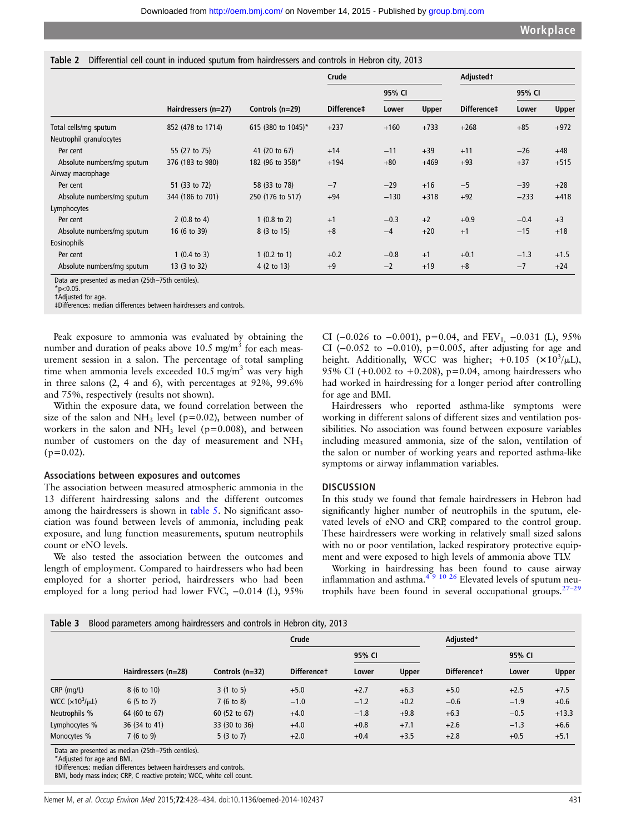<span id="page-3-0"></span>

|  | Table 2 Differential cell count in induced sputum from hairdressers and controls in Hebron city, 2013 |  |  |
|--|-------------------------------------------------------------------------------------------------------|--|--|
|  |                                                                                                       |  |  |

|                            |                        |                         | Crude       |        |              | <b>Adjustedt</b> |        |              |
|----------------------------|------------------------|-------------------------|-------------|--------|--------------|------------------|--------|--------------|
|                            |                        |                         |             | 95% CI |              |                  | 95% CI |              |
|                            | Hairdressers (n=27)    | Controls (n=29)         | Difference‡ | Lower  | <b>Upper</b> | Difference‡      | Lower  | <b>Upper</b> |
| Total cells/mg sputum      | 852 (478 to 1714)      | 615 (380 to 1045)*      | $+237$      | $+160$ | $+733$       | $+268$           | $+85$  | $+972$       |
| Neutrophil granulocytes    |                        |                         |             |        |              |                  |        |              |
| Per cent                   | 55 (27 to 75)          | 41 (20 to 67)           | $+14$       | $-11$  | $+39$        | $+11$            | $-26$  | $+48$        |
| Absolute numbers/mg sputum | 376 (183 to 980)       | 182 (96 to 358)*        | $+194$      | $+80$  | $+469$       | $+93$            | $+37$  | $+515$       |
| Airway macrophage          |                        |                         |             |        |              |                  |        |              |
| Per cent                   | 51 (33 to 72)          | 58 (33 to 78)           | $-7$        | $-29$  | $+16$        | $-5$             | $-39$  | $+28$        |
| Absolute numbers/mg sputum | 344 (186 to 701)       | 250 (176 to 517)        | $+94$       | $-130$ | $+318$       | $+92$            | $-233$ | $+418$       |
| Lymphocytes                |                        |                         |             |        |              |                  |        |              |
| Per cent                   | $2(0.8 \text{ to } 4)$ | $1(0.8 \text{ to } 2)$  | $+1$        | $-0.3$ | $+2$         | $+0.9$           | $-0.4$ | $+3$         |
| Absolute numbers/mg sputum | 16 (6 to 39)           | 8 (3 to 15)             | $+8$        | $-4$   | $+20$        | $+1$             | $-15$  | $+18$        |
| Eosinophils                |                        |                         |             |        |              |                  |        |              |
| Per cent                   | $1(0.4 \text{ to } 3)$ | 1 $(0.2 \text{ to } 1)$ | $+0.2$      | $-0.8$ | $+1$         | $+0.1$           | $-1.3$ | $+1.5$       |
| Absolute numbers/mg sputum | 13 (3 to 32)           | 4 $(2 \text{ to } 13)$  | $+9$        | $-2$   | $+19$        | $+8$             | $-7$   | $+24$        |

 $*_{p<0.05}$ .

†Adjusted for age.

‡Differences: median differences between hairdressers and controls.

Peak exposure to ammonia was evaluated by obtaining the number and duration of peaks above  $10.5 \text{ mg/m}^3$  for each measurement session in a salon. The percentage of total sampling time when ammonia levels exceeded 10.5 mg/m<sup>3</sup> was very high in three salons (2, 4 and 6), with percentages at 92%, 99.6% and 75%, respectively (results not shown).

Within the exposure data, we found correlation between the size of the salon and  $NH<sub>3</sub>$  level (p=0.02), between number of workers in the salon and  $NH<sub>3</sub>$  level (p=0.008), and between number of customers on the day of measurement and NH<sub>3</sub>  $(p=0.02)$ .

#### Associations between exposures and outcomes

The association between measured atmospheric ammonia in the 13 different hairdressing salons and the different outcomes among the hairdressers is shown in [table 5.](#page-4-0) No significant association was found between levels of ammonia, including peak exposure, and lung function measurements, sputum neutrophils count or eNO levels.

We also tested the association between the outcomes and length of employment. Compared to hairdressers who had been employed for a shorter period, hairdressers who had been employed for a long period had lower FVC, -0.014 (L), 95%

CI (-0.026 to -0.001), p=0.04, and  $FEV_{1,}$  -0.031 (L), 95% CI (−0.052 to −0.010), p=0.005, after adjusting for age and height. Additionally, WCC was higher;  $+0.105$  ( $\times 10^3/\mu L$ ), 95% CI (+0.002 to +0.208), p=0.04, among hairdressers who had worked in hairdressing for a longer period after controlling for age and BMI.

Hairdressers who reported asthma-like symptoms were working in different salons of different sizes and ventilation possibilities. No association was found between exposure variables including measured ammonia, size of the salon, ventilation of the salon or number of working years and reported asthma-like symptoms or airway inflammation variables.

#### **DISCUSSION**

In this study we found that female hairdressers in Hebron had significantly higher number of neutrophils in the sputum, elevated levels of eNO and CRP, compared to the control group. These hairdressers were working in relatively small sized salons with no or poor ventilation, lacked respiratory protective equipment and were exposed to high levels of ammonia above TLV.

Working in hairdressing has been found to cause airway inflammation and asthma. $4\frac{9}{9}$  10  $26$  Elevated levels of sputum neutrophils have been found in several occupational groups. $27-29$  $27-29$ 

|  |  | Table 3 Blood parameters among hairdressers and controls in Hebron city, 2013 |  |  |
|--|--|-------------------------------------------------------------------------------|--|--|
|--|--|-------------------------------------------------------------------------------|--|--|

|                     |                      |                   | Crude              |        |              | Adiusted*          |        |              |
|---------------------|----------------------|-------------------|--------------------|--------|--------------|--------------------|--------|--------------|
|                     |                      |                   |                    | 95% CI |              |                    | 95% CI |              |
|                     | Hairdressers (n=28)  | Controls $(n=32)$ | <b>Differencet</b> | Lower  | <b>Upper</b> | <b>Differencet</b> | Lower  | <b>Upper</b> |
| $CRP$ (mg/L)        | 8 (6 to 10)          | 3(1 to 5)         | $+5.0$             | $+2.7$ | $+6.3$       | $+5.0$             | $+2.5$ | $+7.5$       |
| WCC $(x10^3/\mu L)$ | $6(5 \text{ to } 7)$ | 7(6 to 8)         | $-1.0$             | $-1.2$ | $+0.2$       | $-0.6$             | $-1.9$ | $+0.6$       |
| Neutrophils %       | 64 (60 to 67)        | 60 (52 to 67)     | $+4.0$             | $-1.8$ | $+9.8$       | $+6.3$             | $-0.5$ | $+13.3$      |
| Lymphocytes %       | 36 (34 to 41)        | 33 (30 to 36)     | $+4.0$             | $+0.8$ | $+7.1$       | $+2.6$             | $-1.3$ | $+6.6$       |
| Monocytes %         | 7(6 to 9)            | 5(3 to 7)         | $+2.0$             | $+0.4$ | $+3.5$       | $+2.8$             | $+0.5$ | $+5.1$       |

Data are presented as median (25th–75th centiles).

\*Adjusted for age and BMI.

†Differences: median differences between hairdressers and controls.

BMI, body mass index; CRP, C reactive protein; WCC, white cell count.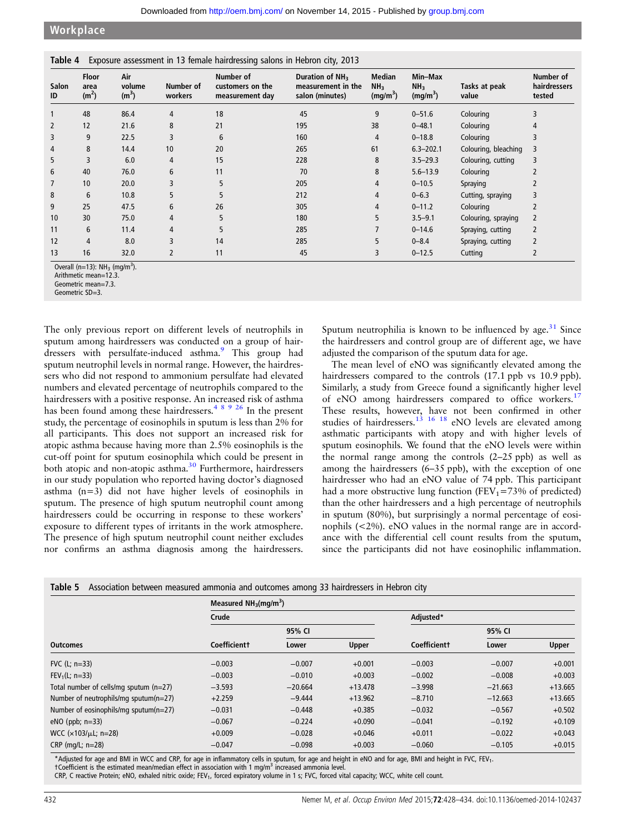<span id="page-4-0"></span>**Workplace** 

| Salon<br>ID    | Floor<br>area<br>(m <sup>2</sup> ) | Air<br>volume<br>(m <sup>3</sup> ) | Number of<br>workers | Number of<br>customers on the<br>measurement day | Duration of NH <sub>3</sub><br>measurement in the<br>salon (minutes) | <b>Median</b><br>NH <sub>3</sub><br>(mg/m <sup>3</sup> ) | Min-Max<br>NH <sub>3</sub><br>(mg/m <sup>3</sup> ) | Tasks at peak<br>value | Number of<br>hairdressers<br>tested |
|----------------|------------------------------------|------------------------------------|----------------------|--------------------------------------------------|----------------------------------------------------------------------|----------------------------------------------------------|----------------------------------------------------|------------------------|-------------------------------------|
|                | 48                                 | 86.4                               | $\overline{4}$       | 18                                               | 45                                                                   | 9                                                        | $0 - 51.6$                                         | Colouring              | 3                                   |
| 2              | 12                                 | 21.6                               | 8                    | 21                                               | 195                                                                  | 38                                                       | $0 - 48.1$                                         | Colouring              | 4                                   |
| 3              | 9                                  | 22.5                               | 3                    | 6                                                | 160                                                                  | 4                                                        | $0 - 18.8$                                         | Colouring              | 3                                   |
| $\overline{4}$ | 8                                  | 14.4                               | 10                   | 20                                               | 265                                                                  | 61                                                       | $6.3 - 202.1$                                      | Colouring, bleaching   | 3                                   |
| 5              | 3                                  | 6.0                                | 4                    | 15                                               | 228                                                                  | 8                                                        | $3.5 - 29.3$                                       | Colouring, cutting     | 3                                   |
| 6              | 40                                 | 76.0                               | 6                    | 11                                               | 70                                                                   | 8                                                        | $5.6 - 13.9$                                       | Colouring              |                                     |
| 7              | 10                                 | 20.0                               | 3                    | 5                                                | 205                                                                  | 4                                                        | $0 - 10.5$                                         | Spraying               |                                     |
| 8              | 6                                  | 10.8                               | 5                    | 5                                                | 212                                                                  | 4                                                        | $0 - 6.3$                                          | Cutting, spraying      | 3                                   |
| 9              | 25                                 | 47.5                               | 6                    | 26                                               | 305                                                                  | 4                                                        | $0 - 11.2$                                         | Colouring              |                                     |
| 10             | 30                                 | 75.0                               | 4                    | 5                                                | 180                                                                  | 5                                                        | $3.5 - 9.1$                                        | Colouring, spraying    | $\overline{2}$                      |
| 11             | 6                                  | 11.4                               | 4                    | 5                                                | 285                                                                  |                                                          | $0 - 14.6$                                         | Spraying, cutting      | $\overline{2}$                      |
| 12             | 4                                  | 8.0                                | 3                    | 14                                               | 285                                                                  | 5                                                        | $0 - 8.4$                                          | Spraying, cutting      | $\overline{2}$                      |
| 13             | 16                                 | 32.0                               |                      | 11                                               | 45                                                                   | 3                                                        | $0 - 12.5$                                         | Cutting                | 2                                   |

Table 4 Exposure assessment in 13 female hairdressing salons in Hebron city, 2013

Overall (n=13):  $NH_3$  (mg/m<sup>3</sup>).

Geometric SD=3.

The only previous report on different levels of neutrophils in sputum among hairdressers was conducted on a group of hair-dressers with persulfate-induced asthma.<sup>[9](#page-6-0)</sup> This group had sputum neutrophil levels in normal range. However, the hairdressers who did not respond to ammonium persulfate had elevated numbers and elevated percentage of neutrophils compared to the hairdressers with a positive response. An increased risk of asthma has been found among these hairdressers.<sup>[4 8 9 26](#page-6-0)</sup> In the present study, the percentage of eosinophils in sputum is less than 2% for all participants. This does not support an increased risk for atopic asthma because having more than 2.5% eosinophils is the cut-off point for sputum eosinophila which could be present in both atopic and non-atopic asthma.<sup>[30](#page-6-0)</sup> Furthermore, hairdressers in our study population who reported having doctor's diagnosed asthma (n=3) did not have higher levels of eosinophils in sputum. The presence of high sputum neutrophil count among hairdressers could be occurring in response to these workers' exposure to different types of irritants in the work atmosphere. The presence of high sputum neutrophil count neither excludes nor confirms an asthma diagnosis among the hairdressers.

Sputum neutrophilia is known to be influenced by age. $31$  Since the hairdressers and control group are of different age, we have adjusted the comparison of the sputum data for age.

The mean level of eNO was significantly elevated among the hairdressers compared to the controls (17.1 ppb vs 10.9 ppb). Similarly, a study from Greece found a significantly higher level of eNO among hairdressers compared to office workers.<sup>[17](#page-6-0)</sup> These results, however, have not been confirmed in other studies of hairdressers.<sup>[13 16 18](#page-6-0)</sup> eNO levels are elevated among asthmatic participants with atopy and with higher levels of sputum eosinophils. We found that the eNO levels were within the normal range among the controls (2–25 ppb) as well as among the hairdressers (6–35 ppb), with the exception of one hairdresser who had an eNO value of 74 ppb. This participant had a more obstructive lung function ( $FEV_1 = 73\%$  of predicted) than the other hairdressers and a high percentage of neutrophils in sputum (80%), but surprisingly a normal percentage of eosinophils (<2%). eNO values in the normal range are in accordance with the differential cell count results from the sputum, since the participants did not have eosinophilic inflammation.

|                                           | Measured $NH3(mq/m3)$ |           |              |               |           |              |  |  |  |
|-------------------------------------------|-----------------------|-----------|--------------|---------------|-----------|--------------|--|--|--|
|                                           | Crude                 |           |              | Adjusted*     |           |              |  |  |  |
|                                           |                       | 95% CI    |              |               | 95% CI    |              |  |  |  |
| <b>Outcomes</b>                           | Coefficient t         | Lower     | <b>Upper</b> | Coefficient t | Lower     | <b>Upper</b> |  |  |  |
| FVC $(L; n=33)$                           | $-0.003$              | $-0.007$  | $+0.001$     | $-0.003$      | $-0.007$  | $+0.001$     |  |  |  |
| $FEV1(L; n=33)$                           | $-0.003$              | $-0.010$  | $+0.003$     | $-0.002$      | $-0.008$  | $+0.003$     |  |  |  |
| Total number of cells/mg sputum $(n=27)$  | $-3.593$              | $-20.664$ | $+13.478$    | $-3.998$      | $-21.663$ | $+13.665$    |  |  |  |
| Number of neutrophils/mg sputum(n=27)     | $+2.259$              | $-9.444$  | $+13.962$    | $-8.710$      | $-12.663$ | $+13.665$    |  |  |  |
| Number of eosinophils/mg sputum( $n=27$ ) | $-0.031$              | $-0.448$  | $+0.385$     | $-0.032$      | $-0.567$  | $+0.502$     |  |  |  |
| $eNO$ (ppb; $n=33$ )                      | $-0.067$              | $-0.224$  | $+0.090$     | $-0.041$      | $-0.192$  | $+0.109$     |  |  |  |
| $WCC$ ( $\times$ 103/ $\mu$ L; n=28)      | $+0.009$              | $-0.028$  | $+0.046$     | $+0.011$      | $-0.022$  | $+0.043$     |  |  |  |
| $CRP$ (mg/L; $n=28$ )                     | $-0.047$              | $-0.098$  | $+0.003$     | $-0.060$      | $-0.105$  | $+0.015$     |  |  |  |

\*Adjusted for age and BMI in WCC and CRP, for age in inflammatory cells in sputum, for age and height in eNO and for age, BMI and height in FVC, FEV1.

†Coefficient is the estimated mean/median effect in association with 1 mg/m<sup>3</sup> increased ammonia level.

CRP, C reactive Protein; eNO, exhaled nitric oxide; FEV<sub>1</sub>, forced expiratory volume in 1 s; FVC, forced vital capacity; WCC, white cell count.

Table 5 Association between measured ammonia and outcomes among 33 hairdressers in Hebron city

Arithmetic mean=12.3. Geometric mean=7.3.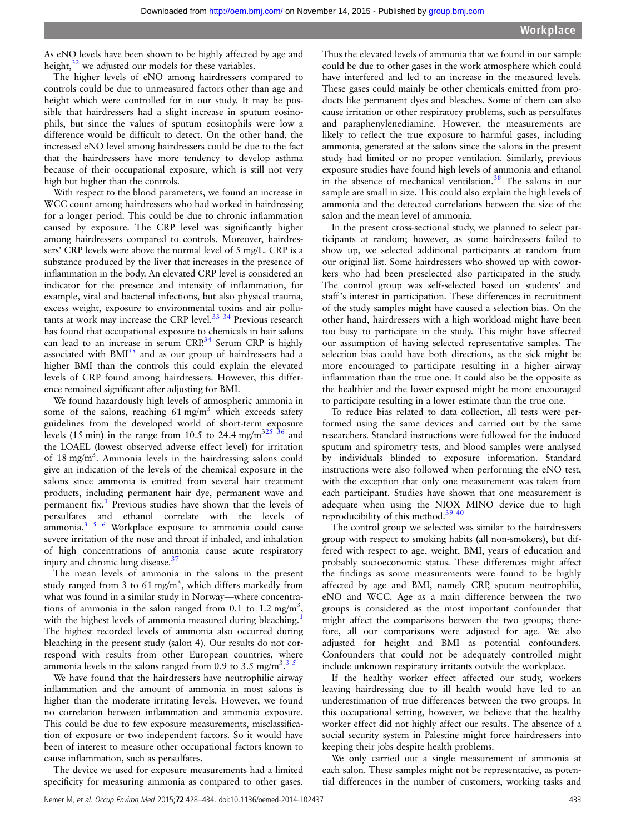As eNO levels have been shown to be highly affected by age and height,<sup>32</sup> we adjusted our models for these variables.

The higher levels of eNO among hairdressers compared to controls could be due to unmeasured factors other than age and height which were controlled for in our study. It may be possible that hairdressers had a slight increase in sputum eosinophils, but since the values of sputum eosinophils were low a difference would be difficult to detect. On the other hand, the increased eNO level among hairdressers could be due to the fact that the hairdressers have more tendency to develop asthma because of their occupational exposure, which is still not very high but higher than the controls.

With respect to the blood parameters, we found an increase in WCC count among hairdressers who had worked in hairdressing for a longer period. This could be due to chronic inflammation caused by exposure. The CRP level was significantly higher among hairdressers compared to controls. Moreover, hairdressers' CRP levels were above the normal level of 5 mg/L. CRP is a substance produced by the liver that increases in the presence of inflammation in the body. An elevated CRP level is considered an indicator for the presence and intensity of inflammation, for example, viral and bacterial infections, but also physical trauma, excess weight, exposure to environmental toxins and air pollutants at work may increase the CRP level. $33 \frac{34}{3}$  Previous research has found that occupational exposure to chemicals in hair salons can lead to an increase in serum CRP<sup>[34](#page-6-0)</sup> Serum CRP is highly associated with BMI<sup>35</sup> and as our group of hairdressers had a higher BMI than the controls this could explain the elevated levels of CRP found among hairdressers. However, this difference remained significant after adjusting for BMI.

We found hazardously high levels of atmospheric ammonia in some of the salons, reaching  $61 \text{ mg/m}^3$  which exceeds safety guidelines from the developed world of short-term exposure levels (15 min) in the range from 10.5 to 24.4 mg/m3[25 36](#page-6-0) and the LOAEL (lowest observed adverse effect level) for irritation of 18 mg/m<sup>3</sup>. Ammonia levels in the hairdressing salons could give an indication of the levels of the chemical exposure in the salons since ammonia is emitted from several hair treatment products, including permanent hair dye, permanent wave and permanent fix.[1](#page-6-0) Previous studies have shown that the levels of persulfates and ethanol correlate with the levels of ammonia.<sup>[356](#page-6-0)</sup> Workplace exposure to ammonia could cause severe irritation of the nose and throat if inhaled, and inhalation of high concentrations of ammonia cause acute respiratory injury and chronic lung disease.<sup>3</sup>

The mean levels of ammonia in the salons in the present study ranged from 3 to 61 mg/m<sup>3</sup>, which differs markedly from what was found in a similar study in Norway—where concentrations of ammonia in the salon ranged from 0.1 to 1.2 mg/m<sup>3</sup>, with the highest levels of ammonia measured during bleaching.<sup>[1](#page-6-0)</sup> The highest recorded levels of ammonia also occurred during bleaching in the present study (salon 4). Our results do not correspond with results from other European countries, where ammonia levels in the salons ranged from 0.9 to 3.5 mg/m<sup>3</sup>.<sup>35</sup>

We have found that the hairdressers have neutrophilic airway inflammation and the amount of ammonia in most salons is higher than the moderate irritating levels. However, we found no correlation between inflammation and ammonia exposure. This could be due to few exposure measurements, misclassification of exposure or two independent factors. So it would have been of interest to measure other occupational factors known to cause inflammation, such as persulfates.

The device we used for exposure measurements had a limited specificity for measuring ammonia as compared to other gases.

Thus the elevated levels of ammonia that we found in our sample could be due to other gases in the work atmosphere which could have interfered and led to an increase in the measured levels. These gases could mainly be other chemicals emitted from products like permanent dyes and bleaches. Some of them can also cause irritation or other respiratory problems, such as persulfates and paraphenylenediamine. However, the measurements are likely to reflect the true exposure to harmful gases, including ammonia, generated at the salons since the salons in the present study had limited or no proper ventilation. Similarly, previous exposure studies have found high levels of ammonia and ethanol in the absence of mechanical ventilation.<sup>[38](#page-6-0)</sup> The salons in our sample are small in size. This could also explain the high levels of ammonia and the detected correlations between the size of the salon and the mean level of ammonia.

In the present cross-sectional study, we planned to select participants at random; however, as some hairdressers failed to show up, we selected additional participants at random from our original list. Some hairdressers who showed up with coworkers who had been preselected also participated in the study. The control group was self-selected based on students' and staff's interest in participation. These differences in recruitment of the study samples might have caused a selection bias. On the other hand, hairdressers with a high workload might have been too busy to participate in the study. This might have affected our assumption of having selected representative samples. The selection bias could have both directions, as the sick might be more encouraged to participate resulting in a higher airway inflammation than the true one. It could also be the opposite as the healthier and the lower exposed might be more encouraged to participate resulting in a lower estimate than the true one.

To reduce bias related to data collection, all tests were performed using the same devices and carried out by the same researchers. Standard instructions were followed for the induced sputum and spirometry tests, and blood samples were analysed by individuals blinded to exposure information. Standard instructions were also followed when performing the eNO test, with the exception that only one measurement was taken from each participant. Studies have shown that one measurement is adequate when using the NIOX MINO device due to high reproducibility of this method.<sup>[39 40](#page-6-0)</sup>

The control group we selected was similar to the hairdressers group with respect to smoking habits (all non-smokers), but differed with respect to age, weight, BMI, years of education and probably socioeconomic status. These differences might affect the findings as some measurements were found to be highly affected by age and BMI, namely CRP, sputum neutrophilia, eNO and WCC. Age as a main difference between the two groups is considered as the most important confounder that might affect the comparisons between the two groups; therefore, all our comparisons were adjusted for age. We also adjusted for height and BMI as potential confounders. Confounders that could not be adequately controlled might include unknown respiratory irritants outside the workplace.

If the healthy worker effect affected our study, workers leaving hairdressing due to ill health would have led to an underestimation of true differences between the two groups. In this occupational setting, however, we believe that the healthy worker effect did not highly affect our results. The absence of a social security system in Palestine might force hairdressers into keeping their jobs despite health problems.

We only carried out a single measurement of ammonia at each salon. These samples might not be representative, as potential differences in the number of customers, working tasks and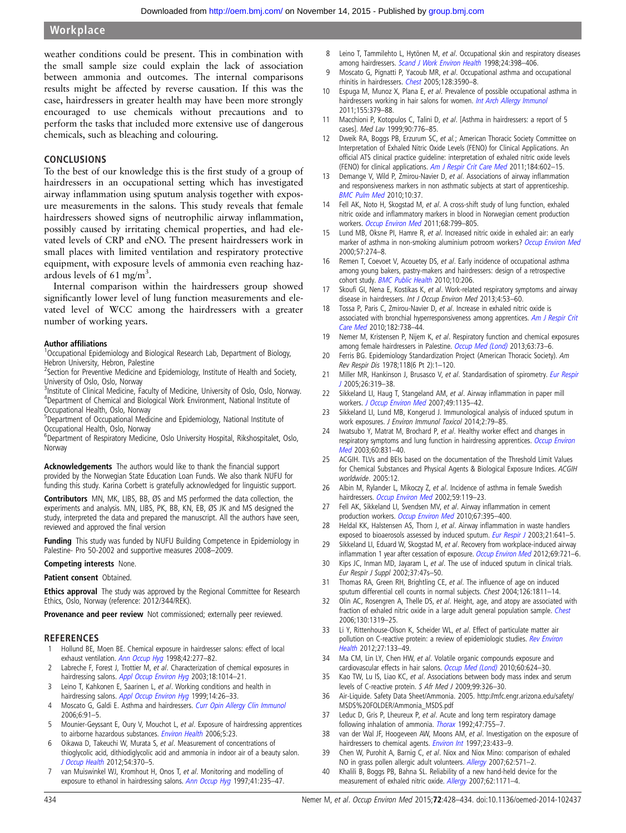<span id="page-6-0"></span>weather conditions could be present. This in combination with the small sample size could explain the lack of association between ammonia and outcomes. The internal comparisons results might be affected by reverse causation. If this was the case, hairdressers in greater health may have been more strongly encouraged to use chemicals without precautions and to perform the tasks that included more extensive use of dangerous chemicals, such as bleaching and colouring.

# **CONCLUSIONS**

To the best of our knowledge this is the first study of a group of hairdressers in an occupational setting which has investigated airway inflammation using sputum analysis together with exposure measurements in the salons. This study reveals that female hairdressers showed signs of neutrophilic airway inflammation, possibly caused by irritating chemical properties, and had elevated levels of CRP and eNO. The present hairdressers work in small places with limited ventilation and respiratory protective equipment, with exposure levels of ammonia even reaching hazardous levels of 61 mg/m<sup>3</sup>.

Internal comparison within the hairdressers group showed significantly lower level of lung function measurements and elevated level of WCC among the hairdressers with a greater number of working years.

#### Author affiliations <sup>1</sup>

<sup>1</sup>Occupational Epidemiology and Biological Research Lab, Department of Biology, Hebron University, Hebron, Palestine

<sup>2</sup>Section for Preventive Medicine and Epidemiology, Institute of Health and Society, University of Oslo, Oslo, Norway

<sup>3</sup>Institute of Clinical Medicine, Faculty of Medicine, University of Oslo, Oslo, Norway. 4 Department of Chemical and Biological Work Environment, National Institute of Occupational Health, Oslo, Norway

<sup>5</sup>Department of Occupational Medicine and Epidemiology, National Institute of Occupational Health, Oslo, Norway

<sup>6</sup>Department of Respiratory Medicine, Oslo University Hospital, Rikshospitalet, Oslo, Norway

Acknowledgements The authors would like to thank the financial support provided by the Norwegian State Education Loan Funds. We also thank NUFU for funding this study. Karina Corbett is gratefully acknowledged for linguistic support.

Contributors MN, MK, LIBS, BB, ØS and MS performed the data collection, the experiments and analysis. MN, LIBS, PK, BB, KN, EB, ØS JK and MS designed the study, interpreted the data and prepared the manuscript. All the authors have seen, reviewed and approved the final version

**Funding** This study was funded by NUFU Building Competence in Epidemiology in Palestine- Pro 50-2002 and supportive measures 2008–2009.

## Competing interests None.

#### Patient consent Obtained.

Ethics approval The study was approved by the Regional Committee for Research Ethics, Oslo, Norway (reference: 2012/344/REK).

Provenance and peer review Not commissioned; externally peer reviewed.

#### REFERENCES

- 1 Hollund BE, Moen BE. Chemical exposure in hairdresser salons: effect of local exhaust ventilation. [Ann Occup Hyg](http://dx.doi.org/10.1093/annhyg/42.4.277) 1998;42:277-82.
- 2 Labreche F, Forest J, Trottier M, et al. Characterization of chemical exposures in hairdressing salons. [Appl Occup Environ Hyg](http://dx.doi.org/10.1080/10473220390244667) 2003;18:1014-21.
- 3 Leino T, Kahkonen E, Saarinen L, et al. Working conditions and health in hairdressing salons. [Appl Occup Environ Hyg](http://dx.doi.org/10.1080/104732299303386) 1999;14:26-33.
- 4 Moscato G, Galdi E. Asthma and hairdressers. [Curr Opin Allergy Clin Immunol](http://dx.doi.org/10.1097/01.all.0000216850.72452.43) 2006;6:91–5.
- 5 Mounier-Geyssant E, Oury V, Mouchot L, et al. Exposure of hairdressing apprentices to airborne hazardous substances. [Environ Health](http://dx.doi.org/10.1186/1476-069X-5-23) 2006;5:23.
- 6 Oikawa D, Takeuchi W, Murata S, et al. Measurement of concentrations of thioglycolic acid, dithiodiglycolic acid and ammonia in indoor air of a beauty salon. [J Occup Health](http://dx.doi.org/10.1539/joh.12-0084-FS) 2012;54:370–5.
- 7 van Muiswinkel WJ, Kromhout H, Onos T, et al. Monitoring and modelling of exposure to ethanol in hairdressing salons. [Ann Occup Hyg](http://dx.doi.org/10.1093/annhyg/41.2.235) 1997;41:235-47.
- 8 Leino T, Tammilehto L, Hytönen M, et al. Occupational skin and respiratory diseases among hairdressers. [Scand J Work Environ Health](http://dx.doi.org/10.5271/sjweh.361) 1998;24:398-406.
- Moscato G, Pignatti P, Yacoub MR, et al. Occupational asthma and occupational rhinitis in hairdressers. [Chest](http://dx.doi.org/10.1378/chest.128.5.3590) 2005;128:3590-8.
- 10 Espuga M, Munoz X, Plana E, et al. Prevalence of possible occupational asthma in hairdressers working in hair salons for women. [Int Arch Allergy Immunol](http://dx.doi.org/10.1159/000321183) 2011;155:379–88.
- 11 Macchioni P, Kotopulos C, Talini D, et al. [Asthma in hairdressers: a report of 5 cases]. Med Lav 1999;90:776–85.
- Dweik RA, Boggs PB, Erzurum SC, et al.; American Thoracic Society Committee on Interpretation of Exhaled Nitric Oxide Levels (FENO) for Clinical Applications. An official ATS clinical practice guideline: interpretation of exhaled nitric oxide levels (FENO) for clinical applications. [Am J Respir Crit Care Med](http://dx.doi.org/10.1164/rccm.9120-11ST) 2011;184:602–15.
- 13 Demange V, Wild P, Zmirou-Navier D, et al. Associations of airway inflammation and responsiveness markers in non asthmatic subjects at start of apprenticeship. [BMC Pulm Med](http://dx.doi.org/10.1186/1471-2466-10-37) 2010;10:37.
- Fell AK, Noto H, Skogstad M, et al. A cross-shift study of lung function, exhaled nitric oxide and inflammatory markers in blood in Norwegian cement production workers. [Occup Environ Med](http://dx.doi.org/10.1136/oem.2010.057729) 2011;68:799-805.
- 15 Lund MB, Oksne PI, Hamre R, et al. Increased nitric oxide in exhaled air: an early marker of asthma in non-smoking aluminium potroom workers? [Occup Environ Med](http://dx.doi.org/10.1136/oem.57.4.274) 2000;57:274–8.
- 16 Remen T, Coevoet V, Acouetey DS, et al. Early incidence of occupational asthma among young bakers, pastry-makers and hairdressers: design of a retrospective cohort study. **[BMC Public Health](http://dx.doi.org/10.1186/1471-2458-10-206) 2010**;10:206.
- 17 Skoufi GI, Nena E, Kostikas K, et al. Work-related respiratory symptoms and airway disease in hairdressers. Int J Occup Environ Med 2013;4:53-60.
- 18 Tossa P, Paris C, Zmirou-Navier D, et al. Increase in exhaled nitric oxide is associated with bronchial hyperresponsiveness among apprentices. [Am J Respir Crit](http://dx.doi.org/10.1164/rccm.200903-0415OC) [Care Med](http://dx.doi.org/10.1164/rccm.200903-0415OC) 2010;182:738–44.
- 19 Nemer M, Kristensen P, Nijem K, et al. Respiratory function and chemical exposures among female hairdressers in Palestine. [Occup Med \(Lond\)](http://dx.doi.org/10.1093/occmed/kqs190) 2013;63:73–6.
- 20 Ferris BG. Epidemiology Standardization Project (American Thoracic Society). Am Rev Respir Dis 1978;118(6 Pt 2):1–120.
- 21 Miller MR, Hankinson J, Brusasco V, et al. Standardisation of spirometry. [Eur Respir](http://dx.doi.org/10.1183/09031936.05.00034805) [J](http://dx.doi.org/10.1183/09031936.05.00034805) 2005;26:319–38.
- 22 Sikkeland LI, Haug T, Stangeland AM, et al. Airway inflammation in paper mill workers. [J Occup Environ Med](http://dx.doi.org/10.1097/JOM.0b013e31814b2e87) 2007;49:1135–42.
- 23 Sikkeland LI, Lund MB, Kongerud J. Immunological analysis of induced sputum in work exposures. J Environ Immunol Toxicol 2014;2:79–85.
- 24 Iwatsubo Y, Matrat M, Brochard P, et al. Healthy worker effect and changes in respiratory symptoms and lung function in hairdressing apprentices. [Occup Environ](http://dx.doi.org/10.1136/oem.60.11.831) [Med](http://dx.doi.org/10.1136/oem.60.11.831) 2003;60:831–40.
- 25 ACGIH. TLVs and BEIs based on the documentation of the Threshold Limit Values for Chemical Substances and Physical Agents & Biological Exposure Indices. ACGIH worldwide. 2005:12.
- 26 Albin M, Rylander L, Mikoczy Z, et al. Incidence of asthma in female Swedish hairdressers. [Occup Environ Med](http://dx.doi.org/10.1136/oem.59.2.119) 2002;59:119-23.
- 27 Fell AK, Sikkeland LI, Svendsen MV, et al. Airway inflammation in cement production workers. [Occup Environ Med](http://dx.doi.org/10.1136/oem.2009.047852) 2010;67:395-400.
- 28 Heldal KK, Halstensen AS, Thorn J, et al. Airway inflammation in waste handlers exposed to bioaerosols assessed by induced sputum. [Eur Respir J](http://dx.doi.org/10.1183/09031936.03.00059702) 2003;21:641-5.
- 29 Sikkeland LI, Eduard W, Skogstad M, et al. Recovery from workplace-induced airway inflammation 1 year after cessation of exposure. [Occup Environ Med](http://dx.doi.org/10.1136/oemed-2011-100632) 2012;69:721-6.
- 30 Kips JC, Inman MD, Jayaram L, et al. The use of induced sputum in clinical trials. Eur Respir J Suppl 2002;37:47s–50.
- 31 Thomas RA, Green RH, Brightling CE, et al. The influence of age on induced sputum differential cell counts in normal subjects. Chest 2004;126:1811–14.
- 32 Olin AC, Rosengren A, Thelle DS, et al. Height, age, and atopy are associated with fraction of exhaled nitric oxide in a large adult general population sample. [Chest](http://dx.doi.org/10.1378/chest.130.5.1319) 2006;130:1319–25.
- 33 Li Y, Rittenhouse-Olson K, Scheider WL, et al. Effect of particulate matter air pollution on C-reactive protein: a review of epidemiologic studies. [Rev Environ](http://dx.doi.org/10.1515/reveh-2012-0012) [Health](http://dx.doi.org/10.1515/reveh-2012-0012) 2012;27:133–49.
- 34 Ma CM, Lin LY, Chen HW, et al. Volatile organic compounds exposure and cardiovascular effects in hair salons. [Occup Med \(Lond\)](http://dx.doi.org/10.1093/occmed/kqq128) 2010;60:624-30.
- 35 Kao TW, Lu IS, Liao KC, et al. Associations between body mass index and serum levels of C-reactive protein. S Afr Med J 2009;99:326–30.
- 36 Air-Liquide. Safety Data Sheet/Ammonia. 2005. [http://mfc.engr.arizona.edu/safety/](http://mfc.engr.arizona.edu/safety/MSDS%20FOLDER/Ammonia_MSDS.pdf) [MSDS%20FOLDER/Ammonia\\_MSDS.pdf](http://mfc.engr.arizona.edu/safety/MSDS%20FOLDER/Ammonia_MSDS.pdf)
- 37 Leduc D, Gris P, Lheureux P, et al. Acute and long term respiratory damage following inhalation of ammonia. [Thorax](http://dx.doi.org/10.1136/thx.47.9.755) 1992;47:755-7.
- 38 van der Wal JF, Hoogeveen AW, Moons AM, et al. Investigation on the exposure of hairdressers to chemical agents. *[Environ Int](http://dx.doi.org/10.1016/S0160-4120(97)00031-7)* 1997;23:433-9.
- 39 Chen W, Purohit A, Barnig C, et al. Niox and Niox Mino: comparison of exhaled NO in grass pollen allergic adult volunteers. [Allergy](http://dx.doi.org/10.1111/j.1398-9995.2007.01334.x) 2007;62:571-2.
- 40 Khalili B, Boggs PB, Bahna SL. Reliability of a new hand-held device for the measurement of exhaled nitric oxide. [Allergy](http://dx.doi.org/10.1111/j.1398-9995.2007.01475.x) 2007;62:1171–4.